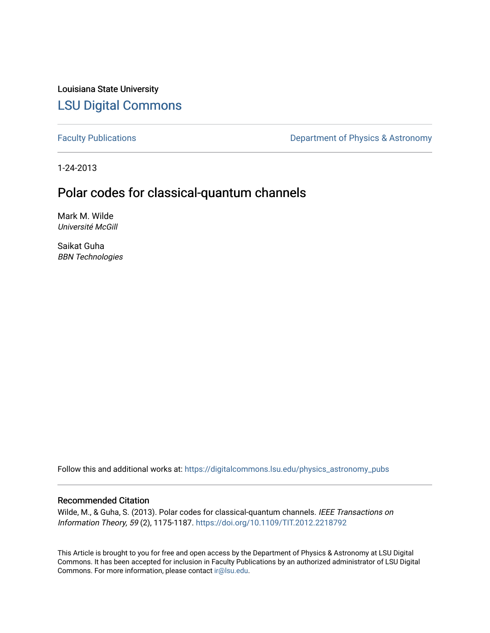Louisiana State University [LSU Digital Commons](https://digitalcommons.lsu.edu/)

[Faculty Publications](https://digitalcommons.lsu.edu/physics_astronomy_pubs) **Exercise 2** Constant Department of Physics & Astronomy

1-24-2013

# Polar codes for classical-quantum channels

Mark M. Wilde Université McGill

Saikat Guha BBN Technologies

Follow this and additional works at: [https://digitalcommons.lsu.edu/physics\\_astronomy\\_pubs](https://digitalcommons.lsu.edu/physics_astronomy_pubs?utm_source=digitalcommons.lsu.edu%2Fphysics_astronomy_pubs%2F5723&utm_medium=PDF&utm_campaign=PDFCoverPages) 

## Recommended Citation

Wilde, M., & Guha, S. (2013). Polar codes for classical-quantum channels. IEEE Transactions on Information Theory, 59 (2), 1175-1187. <https://doi.org/10.1109/TIT.2012.2218792>

This Article is brought to you for free and open access by the Department of Physics & Astronomy at LSU Digital Commons. It has been accepted for inclusion in Faculty Publications by an authorized administrator of LSU Digital Commons. For more information, please contact [ir@lsu.edu](mailto:ir@lsu.edu).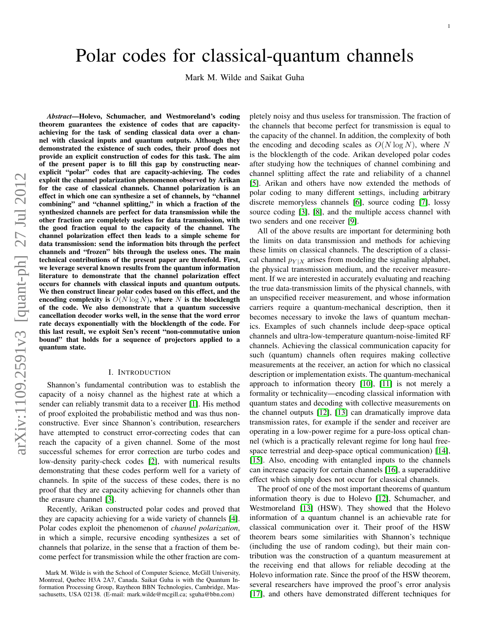# Polar codes for classical-quantum channels

Mark M. Wilde and Saikat Guha

*Abstract*—Holevo, Schumacher, and Westmoreland's coding theorem guarantees the existence of codes that are capacityachieving for the task of sending classical data over a channel with classical inputs and quantum outputs. Although they demonstrated the existence of such codes, their proof does not provide an explicit construction of codes for this task. The aim of the present paper is to fill this gap by constructing nearexplicit "polar" codes that are capacity-achieving. The codes exploit the channel polarization phenomenon observed by Arikan for the case of classical channels. Channel polarization is an effect in which one can synthesize a set of channels, by "channel combining" and "channel splitting," in which a fraction of the synthesized channels are perfect for data transmission while the other fraction are completely useless for data transmission, with the good fraction equal to the capacity of the channel. The channel polarization effect then leads to a simple scheme for data transmission: send the information bits through the perfect channels and "frozen" bits through the useless ones. The main technical contributions of the present paper are threefold. First, we leverage several known results from the quantum information literature to demonstrate that the channel polarization effect occurs for channels with classical inputs and quantum outputs. We then construct linear polar codes based on this effect, and the encoding complexity is  $O(N \log N)$ , where N is the blocklength of the code. We also demonstrate that a quantum successive cancellation decoder works well, in the sense that the word error rate decays exponentially with the blocklength of the code. For this last result, we exploit Sen's recent "non-commutative union bound" that holds for a sequence of projectors applied to a quantum state.

#### I. INTRODUCTION

Shannon's fundamental contribution was to establish the capacity of a noisy channel as the highest rate at which a sender can reliably transmit data to a receiver [\[1\]](#page-12-0). His method of proof exploited the probabilistic method and was thus nonconstructive. Ever since Shannon's contribution, researchers have attempted to construct error-correcting codes that can reach the capacity of a given channel. Some of the most successful schemes for error correction are turbo codes and low-density parity-check codes [\[2\]](#page-12-1), with numerical results demonstrating that these codes perform well for a variety of channels. In spite of the success of these codes, there is no proof that they are capacity achieving for channels other than the erasure channel [\[3\]](#page-12-2).

Recently, Arikan constructed polar codes and proved that they are capacity achieving for a wide variety of channels [\[4\]](#page-12-3). Polar codes exploit the phenomenon of *channel polarization*, in which a simple, recursive encoding synthesizes a set of channels that polarize, in the sense that a fraction of them become perfect for transmission while the other fraction are completely noisy and thus useless for transmission. The fraction of the channels that become perfect for transmission is equal to the capacity of the channel. In addition, the complexity of both the encoding and decoding scales as  $O(N \log N)$ , where N is the blocklength of the code. Arikan developed polar codes after studying how the techniques of channel combining and channel splitting affect the rate and reliability of a channel [\[5\]](#page-12-4). Arikan and others have now extended the methods of polar coding to many different settings, including arbitrary discrete memoryless channels [\[6\]](#page-12-5), source coding [\[7\]](#page-12-6), lossy source coding [\[3\]](#page-12-2), [\[8\]](#page-12-7), and the multiple access channel with two senders and one receiver [\[9\]](#page-12-8).

All of the above results are important for determining both the limits on data transmission and methods for achieving these limits on classical channels. The description of a classical channel  $p_{Y|X}$  arises from modeling the signaling alphabet, the physical transmission medium, and the receiver measurement. If we are interested in accurately evaluating and reaching the true data-transmission limits of the physical channels, with an unspecified receiver measurement, and whose information carriers require a quantum-mechanical description, then it becomes necessary to invoke the laws of quantum mechanics. Examples of such channels include deep-space optical channels and ultra-low-temperature quantum-noise-limited RF channels. Achieving the classical communication capacity for such (quantum) channels often requires making collective measurements at the receiver, an action for which no classical description or implementation exists. The quantum-mechanical approach to information theory [\[10\]](#page-12-9), [\[11\]](#page-12-10) is not merely a formality or technicality—encoding classical information with quantum states and decoding with collective measurements on the channel outputs [\[12\]](#page-12-11), [\[13\]](#page-12-12) can dramatically improve data transmission rates, for example if the sender and receiver are operating in a low-power regime for a pure-loss optical channel (which is a practically relevant regime for long haul freespace terrestrial and deep-space optical communication) [\[14\]](#page-12-13), [\[15\]](#page-12-14). Also, encoding with entangled inputs to the channels can increase capacity for certain channels [\[16\]](#page-12-15), a superadditive effect which simply does not occur for classical channels.

The proof of one of the most important theorems of quantum information theory is due to Holevo [\[12\]](#page-12-11), Schumacher, and Westmoreland [\[13\]](#page-12-12) (HSW). They showed that the Holevo information of a quantum channel is an achievable rate for classical communication over it. Their proof of the HSW theorem bears some similarities with Shannon's technique (including the use of random coding), but their main contribution was the construction of a quantum measurement at the receiving end that allows for reliable decoding at the Holevo information rate. Since the proof of the HSW theorem, several researchers have improved the proof's error analysis [\[17\]](#page-12-16), and others have demonstrated different techniques for

Mark M. Wilde is with the School of Computer Science, McGill University, Montreal, Quebec H3A 2A7, Canada. Saikat Guha is with the Quantum Information Processing Group, Raytheon BBN Technologies, Cambridge, Massachusetts, USA 02138. (E-mail: mark.wilde@mcgill.ca; sguha@bbn.com)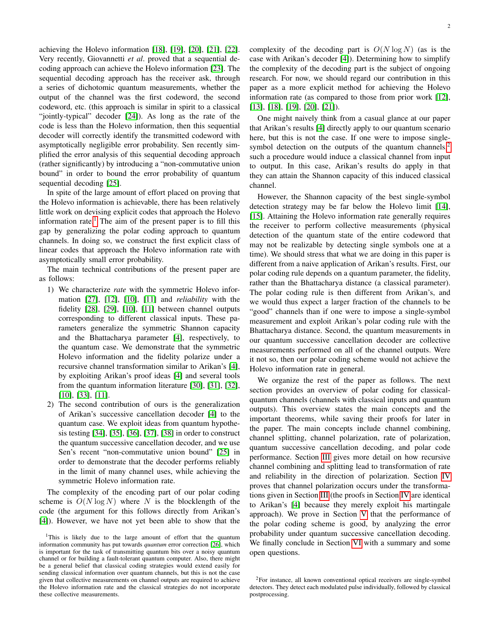achieving the Holevo information [\[18\]](#page-12-17), [\[19\]](#page-12-18), [\[20\]](#page-12-19), [\[21\]](#page-12-20), [\[22\]](#page-12-21). Very recently, Giovannetti *et al*. proved that a sequential decoding approach can achieve the Holevo information [\[23\]](#page-12-22). The sequential decoding approach has the receiver ask, through a series of dichotomic quantum measurements, whether the output of the channel was the first codeword, the second codeword, etc. (this approach is similar in spirit to a classical "jointly-typical" decoder [\[24\]](#page-12-23)). As long as the rate of the code is less than the Holevo information, then this sequential decoder will correctly identify the transmitted codeword with asymptotically negligible error probability. Sen recently simplified the error analysis of this sequential decoding approach (rather significantly) by introducing a "non-commutative union bound" in order to bound the error probability of quantum sequential decoding [\[25\]](#page-12-24).

In spite of the large amount of effort placed on proving that the Holevo information is achievable, there has been relatively little work on devising explicit codes that approach the Holevo information rate.<sup>[1](#page-2-0)</sup> The aim of the present paper is to fill this gap by generalizing the polar coding approach to quantum channels. In doing so, we construct the first explicit class of linear codes that approach the Holevo information rate with asymptotically small error probability.

The main technical contributions of the present paper are as follows:

- 1) We characterize *rate* with the symmetric Holevo information [\[27\]](#page-12-25), [\[12\]](#page-12-11), [\[10\]](#page-12-9), [\[11\]](#page-12-10) and *reliability* with the fidelity [\[28\]](#page-12-26), [\[29\]](#page-12-27), [\[10\]](#page-12-9), [\[11\]](#page-12-10) between channel outputs corresponding to different classical inputs. These parameters generalize the symmetric Shannon capacity and the Bhattacharya parameter [\[4\]](#page-12-3), respectively, to the quantum case. We demonstrate that the symmetric Holevo information and the fidelity polarize under a recursive channel transformation similar to Arikan's [\[4\]](#page-12-3), by exploiting Arikan's proof ideas [\[4\]](#page-12-3) and several tools from the quantum information literature [\[30\]](#page-12-28), [\[31\]](#page-12-29), [\[32\]](#page-12-30), [\[10\]](#page-12-9), [\[33\]](#page-12-31), [\[11\]](#page-12-10).
- 2) The second contribution of ours is the generalization of Arikan's successive cancellation decoder [\[4\]](#page-12-3) to the quantum case. We exploit ideas from quantum hypothesis testing [\[34\]](#page-12-32), [\[35\]](#page-12-33), [\[36\]](#page-12-34), [\[37\]](#page-12-35), [\[38\]](#page-12-36) in order to construct the quantum successive cancellation decoder, and we use Sen's recent "non-commutative union bound" [\[25\]](#page-12-24) in order to demonstrate that the decoder performs reliably in the limit of many channel uses, while achieving the symmetric Holevo information rate.

The complexity of the encoding part of our polar coding scheme is  $O(N \log N)$  where N is the blocklength of the code (the argument for this follows directly from Arikan's [\[4\]](#page-12-3)). However, we have not yet been able to show that the complexity of the decoding part is  $O(N \log N)$  (as is the case with Arikan's decoder [\[4\]](#page-12-3)). Determining how to simplify the complexity of the decoding part is the subject of ongoing research. For now, we should regard our contribution in this paper as a more explicit method for achieving the Holevo information rate (as compared to those from prior work [\[12\]](#page-12-11), [\[13\]](#page-12-12), [\[18\]](#page-12-17), [\[19\]](#page-12-18), [\[20\]](#page-12-19), [\[21\]](#page-12-20)).

One might naively think from a casual glance at our paper that Arikan's results [\[4\]](#page-12-3) directly apply to our quantum scenario here, but this is not the case. If one were to impose single-symbol detection on the outputs of the quantum channels,<sup>[2](#page-2-1)</sup> such a procedure would induce a classical channel from input to output. In this case, Arikan's results do apply in that they can attain the Shannon capacity of this induced classical channel.

However, the Shannon capacity of the best single-symbol detection strategy may be far below the Holevo limit [\[14\]](#page-12-13), [\[15\]](#page-12-14). Attaining the Holevo information rate generally requires the receiver to perform collective measurements (physical detection of the quantum state of the entire codeword that may not be realizable by detecting single symbols one at a time). We should stress that what we are doing in this paper is different from a naive application of Arikan's results. First, our polar coding rule depends on a quantum parameter, the fidelity, rather than the Bhattacharya distance (a classical parameter). The polar coding rule is then different from Arikan's, and we would thus expect a larger fraction of the channels to be "good" channels than if one were to impose a single-symbol measurement and exploit Arikan's polar coding rule with the Bhattacharya distance. Second, the quantum measurements in our quantum successive cancellation decoder are collective measurements performed on all of the channel outputs. Were it not so, then our polar coding scheme would not achieve the Holevo information rate in general.

We organize the rest of the paper as follows. The next section provides an overview of polar coding for classicalquantum channels (channels with classical inputs and quantum outputs). This overview states the main concepts and the important theorems, while saving their proofs for later in the paper. The main concepts include channel combining, channel splitting, channel polarization, rate of polarization, quantum successive cancellation decoding, and polar code performance. Section [III](#page-6-0) gives more detail on how recursive channel combining and splitting lead to transformation of rate and reliability in the direction of polarization. Section [IV](#page-8-0) proves that channel polarization occurs under the transformations given in Section [III](#page-6-0) (the proofs in Section [IV](#page-8-0) are identical to Arikan's [\[4\]](#page-12-3) because they merely exploit his martingale approach). We prove in Section [V](#page-8-1) that the performance of the polar coding scheme is good, by analyzing the error probability under quantum successive cancellation decoding. We finally conclude in Section [VI](#page-9-0) with a summary and some open questions.

<span id="page-2-0"></span><sup>&</sup>lt;sup>1</sup>This is likely due to the large amount of effort that the quantum information community has put towards *quantum* error correction [\[26\]](#page-12-37), which is important for the task of transmitting quantum bits over a noisy quantum channel or for building a fault-tolerant quantum computer. Also, there might be a general belief that classical coding strategies would extend easily for sending classical information over quantum channels, but this is not the case given that collective measurements on channel outputs are required to achieve the Holevo information rate and the classical strategies do not incorporate these collective measurements.

<span id="page-2-1"></span><sup>&</sup>lt;sup>2</sup>For instance, all known conventional optical receivers are single-symbol detectors. They detect each modulated pulse individually, followed by classical postprocessing.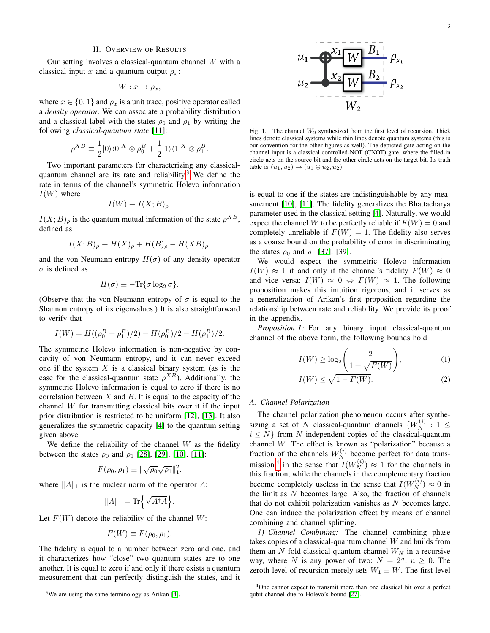#### II. OVERVIEW OF RESULTS

Our setting involves a classical-quantum channel  $W$  with a classical input x and a quantum output  $\rho_x$ :

$$
W: x \to \rho_x,
$$

where  $x \in \{0, 1\}$  and  $\rho_x$  is a unit trace, positive operator called a *density operator*. We can associate a probability distribution and a classical label with the states  $\rho_0$  and  $\rho_1$  by writing the following *classical-quantum state* [\[11\]](#page-12-10):

$$
\rho^{XB} \equiv \frac{1}{2}|0\rangle\langle 0|^X \otimes \rho_0^B + \frac{1}{2}|1\rangle\langle 1|^X \otimes \rho_1^B.
$$

Two important parameters for characterizing any classical-quantum channel are its rate and reliability.<sup>[3](#page-3-0)</sup> We define the rate in terms of the channel's symmetric Holevo information  $I(W)$  where

$$
I(W) \equiv I(X;B)_{\rho}.
$$

 $I(X;B)$ <sub>ρ</sub> is the quantum mutual information of the state  $\rho^{XB}$ , defined as

$$
I(X;B)_{\rho} \equiv H(X)_{\rho} + H(B)_{\rho} - H(XB)_{\rho},
$$

and the von Neumann entropy  $H(\sigma)$  of any density operator  $\sigma$  is defined as

$$
H(\sigma) \equiv -\text{Tr}\{\sigma \log_2 \sigma\}.
$$

(Observe that the von Neumann entropy of  $\sigma$  is equal to the Shannon entropy of its eigenvalues.) It is also straightforward to verify that

$$
I(W) = H((\rho_0^B + \rho_1^B)/2) - H(\rho_0^B)/2 - H(\rho_1^B)/2.
$$

The symmetric Holevo information is non-negative by concavity of von Neumann entropy, and it can never exceed one if the system  $X$  is a classical binary system (as is the case for the classical-quantum state  $\rho^{XB}$ ). Additionally, the symmetric Holevo information is equal to zero if there is no correlation between  $X$  and  $B$ . It is equal to the capacity of the channel  $W$  for transmitting classical bits over it if the input prior distribution is restricted to be uniform [\[12\]](#page-12-11), [\[13\]](#page-12-12). It also generalizes the symmetric capacity [\[4\]](#page-12-3) to the quantum setting given above.

We define the reliability of the channel  $W$  as the fidelity between the states  $\rho_0$  and  $\rho_1$  [\[28\]](#page-12-26), [\[29\]](#page-12-27), [\[10\]](#page-12-9), [\[11\]](#page-12-10):

$$
F(\rho_0, \rho_1) \equiv \|\sqrt{\rho_0}\sqrt{\rho_1}\|_1^2,
$$

where  $||A||_1$  is the nuclear norm of the operator A:

$$
||A||_1 = \text{Tr}\Big\{\sqrt{A^{\dagger}A}\Big\}.
$$

Let  $F(W)$  denote the reliability of the channel W:

$$
F(W) \equiv F(\rho_0, \rho_1).
$$

The fidelity is equal to a number between zero and one, and it characterizes how "close" two quantum states are to one another. It is equal to zero if and only if there exists a quantum measurement that can perfectly distinguish the states, and it



<span id="page-3-2"></span>Fig. 1. The channel  $W_2$  synthesized from the first level of recursion. Thick lines denote classical systems while thin lines denote quantum systems (this is our convention for the other figures as well). The depicted gate acting on the channel input is a classical controlled-NOT (CNOT) gate, where the filled-in circle acts on the source bit and the other circle acts on the target bit. Its truth table is  $(u_1, u_2) \to (u_1 \oplus u_2, u_2)$ .

is equal to one if the states are indistinguishable by any measurement [\[10\]](#page-12-9), [\[11\]](#page-12-10). The fidelity generalizes the Bhattacharya parameter used in the classical setting [\[4\]](#page-12-3). Naturally, we would expect the channel W to be perfectly reliable if  $F(W) = 0$  and completely unreliable if  $F(W) = 1$ . The fidelity also serves as a coarse bound on the probability of error in discriminating the states  $\rho_0$  and  $\rho_1$  [\[37\]](#page-12-35), [\[39\]](#page-12-38).

We would expect the symmetric Holevo information  $I(W) \approx 1$  if and only if the channel's fidelity  $F(W) \approx 0$ and vice versa:  $I(W) \approx 0 \Leftrightarrow F(W) \approx 1$ . The following proposition makes this intuition rigorous, and it serves as a generalization of Arikan's first proposition regarding the relationship between rate and reliability. We provide its proof in the appendix.

<span id="page-3-3"></span>*Proposition 1:* For any binary input classical-quantum channel of the above form, the following bounds hold

<span id="page-3-4"></span>
$$
I(W) \ge \log_2\left(\frac{2}{1 + \sqrt{F(W)}}\right),\tag{1}
$$

<span id="page-3-5"></span>
$$
I(W) \le \sqrt{1 - F(W)}.
$$
 (2)

#### *A. Channel Polarization*

The channel polarization phenomenon occurs after synthesizing a set of N classical-quantum channels  $\{W_N^{(i)}: 1 \leq$  $i \leq N$  from N independent copies of the classical-quantum channel W. The effect is known as "polarization" because a fraction of the channels  $W_N^{(i)}$  become perfect for data trans-mission,<sup>[4](#page-3-1)</sup> in the sense that  $I(W_N^{(i)}) \approx 1$  for the channels in this fraction, while the channels in the complementary fraction become completely useless in the sense that  $I(W_N^{(i)}) \approx 0$  in the limit as  $N$  becomes large. Also, the fraction of channels that do not exhibit polarization vanishes as  $N$  becomes large. One can induce the polarization effect by means of channel combining and channel splitting.

*1) Channel Combining:* The channel combining phase takes copies of a classical-quantum channel W and builds from them an N-fold classical-quantum channel  $W_N$  in a recursive way, where N is any power of two:  $N = 2<sup>n</sup>$ ,  $n \ge 0$ . The zeroth level of recursion merely sets  $W_1 \equiv W$ . The first level

<span id="page-3-0"></span> $3$ We are using the same terminology as Arikan [\[4\]](#page-12-3).

<span id="page-3-1"></span><sup>&</sup>lt;sup>4</sup>One cannot expect to transmit more than one classical bit over a perfect qubit channel due to Holevo's bound [\[27\]](#page-12-25).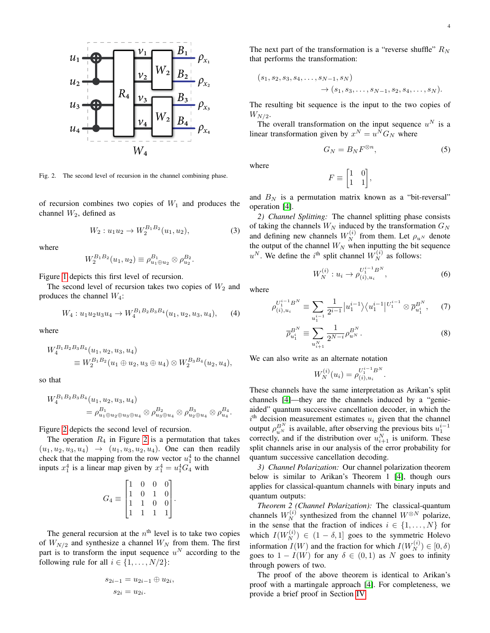

<span id="page-4-0"></span>Fig. 2. The second level of recursion in the channel combining phase.

of recursion combines two copies of  $W_1$  and produces the channel  $W_2$ , defined as

<span id="page-4-3"></span>
$$
W_2: u_1u_2 \to W_2^{B_1B_2}(u_1, u_2), \tag{3}
$$

where

$$
W_2^{B_1B_2}(u_1, u_2) \equiv \rho_{u_1 \oplus u_2}^{B_1} \otimes \rho_{u_2}^{B_2}.
$$

Figure [1](#page-3-2) depicts this first level of recursion.

The second level of recursion takes two copies of  $W_2$  and produces the channel  $W_4$ :

$$
W_4: u_1 u_2 u_3 u_4 \to W_4^{B_1 B_2 B_3 B_4}(u_1, u_2, u_3, u_4), \quad (4)
$$

where

$$
W_4^{B_1 B_2 B_3 B_4}(u_1, u_2, u_3, u_4)
$$
  
\n
$$
\equiv W_2^{B_1 B_2}(u_1 \oplus u_2, u_3 \oplus u_4) \otimes W_2^{B_3 B_4}(u_2, u_4),
$$

so that

$$
W_4^{B_1 B_2 B_3 B_4}(u_1, u_2, u_3, u_4)
$$
  
=  $\rho_{u_1 \oplus u_2 \oplus u_3 \oplus u_4}^{B_1} \otimes \rho_{u_3 \oplus u_4}^{B_2} \otimes \rho_{u_2 \oplus u_4}^{B_3} \otimes \rho_{u_4}^{B_4}.$ 

Figure [2](#page-4-0) depicts the second level of recursion.

The operation  $R_4$  in Figure [2](#page-4-0) is a permutation that takes  $(u_1, u_2, u_3, u_4) \rightarrow (u_1, u_3, u_2, u_4)$ . One can then readily check that the mapping from the row vector  $u_1^4$  to the channel inputs  $x_1^4$  is a linear map given by  $x_1^4 = u_1^4 G_4$  with

$$
G_4 \equiv \begin{bmatrix} 1 & 0 & 0 & 0 \\ 1 & 0 & 1 & 0 \\ 1 & 1 & 0 & 0 \\ 1 & 1 & 1 & 1 \end{bmatrix}.
$$

The general recursion at the  $n<sup>th</sup>$  level is to take two copies of  $W_{N/2}$  and synthesize a channel  $W_N$  from them. The first part is to transform the input sequence  $u^N$  according to the following rule for all  $i \in \{1, \ldots, N/2\}$ :

$$
s_{2i-1} = u_{2i-1} \oplus u_{2i},
$$
  

$$
s_{2i} = u_{2i}.
$$

The next part of the transformation is a "reverse shuffle"  $R_N$ that performs the transformation:

$$
(s_1, s_2, s_3, s_4, \ldots, s_{N-1}, s_N)
$$
  
 $\rightarrow (s_1, s_3, \ldots, s_{N-1}, s_2, s_4, \ldots, s_N).$ 

The resulting bit sequence is the input to the two copies of  $W_{N/2}$ .

The overall transformation on the input sequence  $u^N$  is a linear transformation given by  $x^N = u^N G_N$  where

<span id="page-4-1"></span>
$$
G_N = B_N F^{\otimes n},\tag{5}
$$

where

$$
F \equiv \begin{bmatrix} 1 & 0 \\ 1 & 1 \end{bmatrix},
$$

and  $B_N$  is a permutation matrix known as a "bit-reversal" operation [\[4\]](#page-12-3).

*2) Channel Splitting:* The channel splitting phase consists of taking the channels  $W_N$  induced by the transformation  $G_N$ and defining new channels  $W_N^{(i)}$  from them. Let  $\rho_{u^N}$  denote the output of the channel  $W_N$  when inputting the bit sequence  $u^N$ . We define the i<sup>th</sup> split channel  $W_N^{(i)}$  as follows:

<span id="page-4-2"></span>
$$
W_N^{(i)}: u_i \to \rho_{(i), u_i}^{U_1^{i-1}B^N}, \tag{6}
$$

where

$$
\rho_{(i),u_i}^{U_1^{i-1}B^N} \equiv \sum_{u_1^{i-1}} \frac{1}{2^{i-1}} |u_1^{i-1}\rangle \langle u_1^{i-1}|^{U_1^{i-1}} \otimes \overline{\rho}_{u_1^i}^{B^N}, \quad (7)
$$

$$
\overline{\rho}_{u_1^i}^{B^N} \equiv \sum_{u_{i+1}^N} \frac{1}{2^{N-i}} \rho_{u^N}^{B^N}.
$$
\n(8)

We can also write as an alternate notation

<span id="page-4-5"></span>
$$
W_N^{(i)}(u_i) = \rho_{(i),u_i}^{U_1^{i-1}B^N}.
$$

These channels have the same interpretation as Arikan's split channels [\[4\]](#page-12-3)—they are the channels induced by a "genieaided" quantum successive cancellation decoder, in which the  $i<sup>th</sup>$  decision measurement estimates  $u_i$  given that the channel output  $\rho_{u^N}^{B^N}$  is available, after observing the previous bits  $u_1^{i-1}$ correctly, and if the distribution over  $u_{i+1}^N$  is uniform. These split channels arise in our analysis of the error probability for quantum successive cancellation decoding.

*3) Channel Polarization:* Our channel polarization theorem below is similar to Arikan's Theorem 1 [\[4\]](#page-12-3), though ours applies for classical-quantum channels with binary inputs and quantum outputs:

<span id="page-4-4"></span>*Theorem 2 (Channel Polarization):* The classical-quantum channels  $W_N^{(i)}$  synthesized from the channel  $W^{\otimes N}$  polarize, in the sense that the fraction of indices  $i \in \{1, \ldots, N\}$  for which  $I(W_N^{(i)}) \in (1 - \delta, 1]$  goes to the symmetric Holevo information  $I(W)$  and the fraction for which  $I(W_N^{(i)}) \in [0, \delta)$ goes to  $1 - I(W)$  for any  $\delta \in (0, 1)$  as N goes to infinity through powers of two.

The proof of the above theorem is identical to Arikan's proof with a martingale approach [\[4\]](#page-12-3). For completeness, we provide a brief proof in Section [IV.](#page-8-0)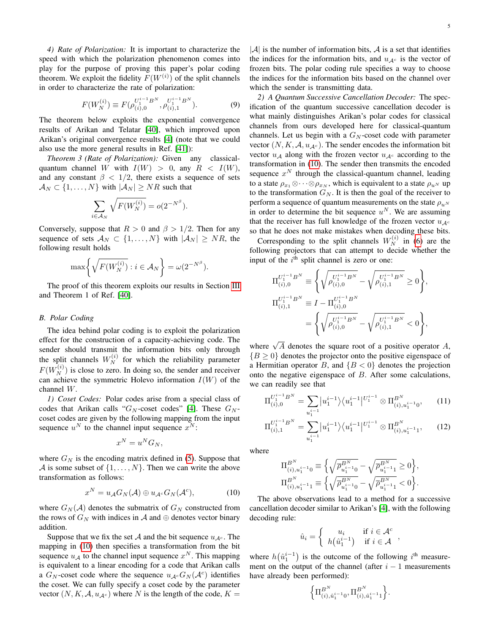*4) Rate of Polarization:* It is important to characterize the speed with which the polarization phenomenon comes into play for the purpose of proving this paper's polar coding theorem. We exploit the fidelity  $F(W^{(i)})$  of the split channels in order to characterize the rate of polarization:

<span id="page-5-4"></span>
$$
F(W_N^{(i)}) \equiv F(\rho_{(i),0}^{U_1^{i-1}B^N}, \rho_{(i),1}^{U_1^{i-1}B^N}).
$$
\n(9)

The theorem below exploits the exponential convergence results of Arikan and Telatar [\[40\]](#page-12-39), which improved upon Arikan's original convergence results [\[4\]](#page-12-3) (note that we could also use the more general results in Ref. [\[41\]](#page-12-40)):

<span id="page-5-1"></span>*Theorem 3 (Rate of Polarization):* Given any classicalquantum channel W with  $I(W) > 0$ , any  $R < I(W)$ , and any constant  $\beta$  < 1/2, there exists a sequence of sets  $\mathcal{A}_N \subset \{1, \ldots, N\}$  with  $|\mathcal{A}_N| \geq NR$  such that

$$
\sum_{i \in \mathcal{A}_N} \sqrt{F(W_N^{(i)})} = o(2^{-N^{\beta}}).
$$

Conversely, suppose that  $R > 0$  and  $\beta > 1/2$ . Then for any sequence of sets  $A_N \subset \{1, ..., N\}$  with  $|A_N| \geq NR$ , the following result holds

$$
\max\bigg\{\sqrt{F(W_N^{(i)})}:i\in\mathcal{A}_N\bigg\}=\omega(2^{-N^{\beta}}).
$$

The proof of this theorem exploits our results in Section [III](#page-6-0) and Theorem 1 of Ref. [\[40\]](#page-12-39).

#### *B. Polar Coding*

The idea behind polar coding is to exploit the polarization effect for the construction of a capacity-achieving code. The sender should transmit the information bits only through the split channels  $W_N^{(i)}$  for which the reliability parameter  $F(W_N^{(i)})$  is close to zero. In doing so, the sender and receiver can achieve the symmetric Holevo information  $I(W)$  of the channel W.

*1) Coset Codes:* Polar codes arise from a special class of codes that Arikan calls " $G_N$ -coset codes" [\[4\]](#page-12-3). These  $G_N$ coset codes are given by the following mapping from the input sequence  $u^N$  to the channel input sequence  $x^N$ :

$$
x^N = u^N G_N,
$$

where  $G_N$  is the encoding matrix defined in [\(5\)](#page-4-1). Suppose that A is some subset of  $\{1, \ldots, N\}$ . Then we can write the above transformation as follows:

<span id="page-5-0"></span>
$$
x^N = u_{\mathcal{A}} G_N(\mathcal{A}) \oplus u_{\mathcal{A}^c} G_N(\mathcal{A}^c), \tag{10}
$$

where  $G_N(\mathcal{A})$  denotes the submatrix of  $G_N$  constructed from the rows of  $G_N$  with indices in A and  $\oplus$  denotes vector binary addition.

Suppose that we fix the set A and the bit sequence  $u_{A^c}$ . The mapping in [\(10\)](#page-5-0) then specifies a transformation from the bit sequence  $u_A$  to the channel input sequence  $x^N$ . This mapping is equivalent to a linear encoding for a code that Arikan calls a  $G_N$ -coset code where the sequence  $u_{\mathcal{A}^c}G_N(\mathcal{A}^c)$  identifies the coset. We can fully specify a coset code by the parameter vector  $(N, K, A, u_{A<sup>c</sup>})$  where N is the length of the code,  $K =$ 

 $|A|$  is the number of information bits, A is a set that identifies the indices for the information bits, and  $u_{A<sup>c</sup>}$  is the vector of frozen bits. The polar coding rule specifies a way to choose the indices for the information bits based on the channel over which the sender is transmitting data.

*2) A Quantum Successive Cancellation Decoder:* The specification of the quantum successive cancellation decoder is what mainly distinguishes Arikan's polar codes for classical channels from ours developed here for classical-quantum channels. Let us begin with a  $G_N$ -coset code with parameter vector  $(N, K, A, u_{A<sup>c</sup>})$ . The sender encodes the information bit vector  $u_A$  along with the frozen vector  $u_{A<sup>c</sup>}$  according to the transformation in [\(10\)](#page-5-0). The sender then transmits the encoded sequence  $x^N$  through the classical-quantum channel, leading to a state  $\rho_{x_1} \otimes \cdots \otimes \rho_{x_N}$ , which is equivalent to a state  $\rho_{u^N}$  up to the transformation  $G_N$ . It is then the goal of the receiver to perform a sequence of quantum measurements on the state  $\rho_{u}N$ in order to determine the bit sequence  $u^N$ . We are assuming that the receiver has full knowledge of the frozen vector  $u_{A<sup>c</sup>}$ so that he does not make mistakes when decoding these bits.

Corresponding to the split channels  $W_N^{(i)}$  in [\(6\)](#page-4-2) are the following projectors that can attempt to decide whether the input of the  $i^{\text{th}}$  split channel is zero or one:

$$
\Pi_{(i),0}^{U_1^{i-1}B^N} \equiv \left\{ \sqrt{\rho_{(i),0}^{U_1^{i-1}B^N}} - \sqrt{\rho_{(i),1}^{U_1^{i-1}B^N}} \ge 0 \right\},\newline \Pi_{(i),1}^{U_1^{i-1}B^N} \equiv I - \Pi_{(i),0}^{U_1^{i-1}B^N} \\
= \left\{ \sqrt{\rho_{(i),0}^{U_1^{i-1}B^N}} - \sqrt{\rho_{(i),1}^{U_1^{i-1}B^N}} < 0 \right\},\newline
$$

where  $\sqrt{A}$  denotes the square root of a positive operator A,  ${B \geq 0}$  denotes the projector onto the positive eigenspace of a Hermitian operator B, and  ${B < 0}$  denotes the projection onto the negative eigenspace of B. After some calculations, we can readily see that

$$
\Pi_{(i),0}^{U_1^{i-1}B^N} = \sum_{u_1^{i-1}} |u_1^{i-1}\rangle \langle u_1^{i-1}|^{U_1^{i-1}} \otimes \Pi_{(i),u_1^{i-1}0}^{B^N}, \qquad (11)
$$

$$
\Pi_{(i),1}^{U_1^{i-1}B^N} = \sum_{u_1^{i-1}} |u_1^{i-1}\rangle \langle u_1^{i-1}|^{U_1^{i-1}} \otimes \Pi_{(i),u_1^{i-1}1}^{B^N},\qquad(12)
$$

where

<span id="page-5-3"></span><span id="page-5-2"></span>
$$
\begin{array}{l} {\Pi_{{(i)},u_1^{i-1}0}^{B^N}} \equiv \Big\{ {\sqrt \overline \rho _{{u_1^{i - 1}0}}^{B^N}} - \sqrt \overline \rho _{{u_1^{i - 1}1}}^{B^N}} \ge 0 \Big\},\\ {\Pi_{{(i)},u_1^{i - 1}1}^{B^N}} \equiv \Big\{ {\sqrt \overline \rho _{{u_1^{i - 1}0}}^{B^N}} - \sqrt \overline \rho _{{u_1^{i - 1}1}}^{B^N}} < 0 \Big\}. \end{array}
$$

The above observations lead to a method for a successive cancellation decoder similar to Arikan's [\[4\]](#page-12-3), with the following decoding rule:

$$
\hat{u}_i = \begin{cases} u_i & \text{if } i \in \mathcal{A}^c \\ h(\hat{u}_1^{i-1}) & \text{if } i \in \mathcal{A} \end{cases}
$$

where  $h(\hat{u}_1^{i-1})$  is the outcome of the following  $i^{\text{th}}$  measurement on the output of the channel (after  $i - 1$  measurements have already been performed):

$$
\left\{\Pi^{B^N}_{(i),\hat{u}_1^{i-1}0},\Pi^{B^N}_{(i),\hat{u}_1^{i-1}1}\right\}.
$$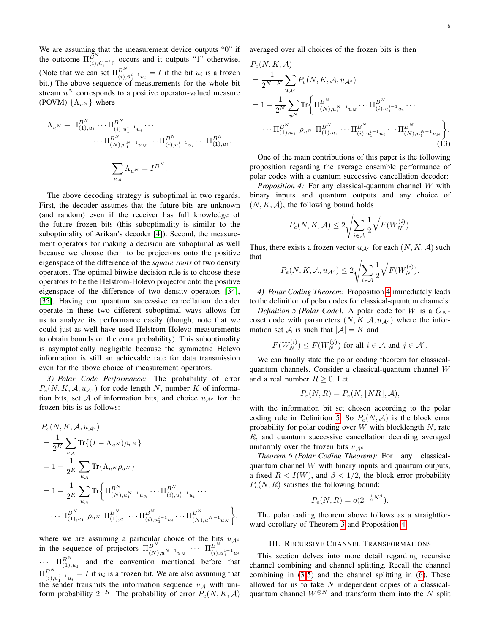We are assuming that the measurement device outputs "0" if the outcome  $\Pi_{(i), \hat{u}_1^{i-1}0}^{\bar{B}^N}$  occurs and it outputs "1" otherwise. (Note that we can set  $\Pi_{(i), \hat{u}_1^{i-1} u_i}^{B^N} = I$  if the bit  $u_i$  is a frozen bit.) The above sequence of measurements for the whole bit stream  $u^N$  corresponds to a positive operator-valued measure (POVM)  $\{\Lambda_{n^N}\}\$  where

$$
\Lambda_{u^N} \equiv \Pi_{(1),u_1}^{B^N} \cdots \Pi_{(i),u_1^{i-1}u_1}^{B^N} \cdots
$$

$$
\cdots \Pi_{(N),u_1^{N-1}u_N}^{B^N} \cdots \Pi_{(i),u_1^{i-1}u_i}^{B^N} \cdots \Pi_{(1),u_1}^{B^N},
$$

$$
\sum_{u_{\mathcal{A}}} \Lambda_{u^N} = I^{B^N}.
$$

The above decoding strategy is suboptimal in two regards. First, the decoder assumes that the future bits are unknown (and random) even if the receiver has full knowledge of the future frozen bits (this suboptimality is similar to the suboptimality of Arikan's decoder [\[4\]](#page-12-3)). Second, the measurement operators for making a decision are suboptimal as well because we choose them to be projectors onto the positive eigenspace of the difference of the *square roots* of two density operators. The optimal bitwise decision rule is to choose these operators to be the Helstrom-Holevo projector onto the positive eigenspace of the difference of two density operators [\[34\]](#page-12-32), [\[35\]](#page-12-33). Having our quantum successive cancellation decoder operate in these two different suboptimal ways allows for us to analyze its performance easily (though, note that we could just as well have used Helstrom-Holevo measurements to obtain bounds on the error probability). This suboptimality is asymptotically negligible because the symmetric Holevo information is still an achievable rate for data transmission even for the above choice of measurement operators.

*3) Polar Code Performance:* The probability of error  $P_e(N, K, \mathcal{A}, u_{\mathcal{A}^c})$  for code length N, number K of information bits, set A of information bits, and choice  $u_{A<sup>c</sup>}$  for the frozen bits is as follows:

$$
P_e(N, K, \mathcal{A}, u_{\mathcal{A}^c})
$$
  
=  $\frac{1}{2^K} \sum_{u_{\mathcal{A}}} \text{Tr}\{(I - \Lambda_{u^N})\rho_{u^N}\}\$   
=  $1 - \frac{1}{2^K} \sum_{u_{\mathcal{A}}} \text{Tr}\{\Lambda_{u^N}\rho_{u^N}\}\$   
=  $1 - \frac{1}{2^K} \sum_{u_{\mathcal{A}}} \text{Tr}\{\Pi_{(N), u_1^{N-1}u_N}^{\mathcal{B}^N} \cdots \Pi_{(i), u_1^{i-1}u_i}^{\mathcal{B}^N} \cdots \}$   
 $\cdots \Pi_{(1), u_1}^{\mathcal{B}^N} \rho_{u^N} \Pi_{(1), u_1}^{\mathcal{B}^N} \cdots \Pi_{(i), u_1^{i-1}u_i}^{\mathcal{B}^N} \cdots \Pi_{(N), u_1^{N-1}u_N}^{\mathcal{B}^N}\},$ 

where we are assuming a particular choice of the bits  $u_{\mathcal{A}^c}$ in the sequence of projectors  $\Pi_{(N),u_1^{N-1}u_N}^{B^N}$   $\cdots$   $\Pi_{(i),u_1^{i-1}}^{B^N}$  $\prod_{i=1}^{n}$  and the convention mentioned before that  $\Pi_{(i),u_1^{i-1}u_i}^{B^N} = I$  if  $u_i$  is a frozen bit. We are also assuming that the sender transmits the information sequence  $u_A$  with uniform probability  $2^{-K}$ . The probability of error  $P_e(N, K, A)$  averaged over all choices of the frozen bits is then

$$
P_e(N, K, \mathcal{A})
$$
  
=  $\frac{1}{2^{N-K}} \sum_{u_{\mathcal{A}^c}} P_e(N, K, \mathcal{A}, u_{\mathcal{A}^c})$   
=  $1 - \frac{1}{2^N} \sum_{u^N} \text{Tr} \Biggl\{ \Pi_{(N), u_1^{N-1} u_N}^{B^N} \cdots \Pi_{(i), u_1^{i-1} u_i}^{B^N} \cdots \cdots \Pi_{(1), u_1 \rho u^N}^{B^N} \Pi_{(1), u_1}^{B^N} \cdots \Pi_{(i), u_1^{i-1} u_i}^{B^N} \cdots \Pi_{(N), u_1^{N-1} u_N}^{B^N} \Biggr\}.$  (13)

One of the main contributions of this paper is the following proposition regarding the average ensemble performance of polar codes with a quantum successive cancellation decoder:

<span id="page-6-1"></span>*Proposition 4:* For any classical-quantum channel W with binary inputs and quantum outputs and any choice of  $(N, K, A)$ , the following bound holds

<span id="page-6-4"></span>
$$
P_e(N, K, \mathcal{A}) \le 2\sqrt{\sum_{i \in \mathcal{A}} \frac{1}{2} \sqrt{F(W_N^{(i)})}}.
$$

Thus, there exists a frozen vector  $u_{A<sup>c</sup>}$  for each  $(N, K, A)$  such that

$$
P_e(N, K, \mathcal{A}, u_{\mathcal{A}^c}) \leq 2\sqrt{\sum_{i \in \mathcal{A}} \frac{1}{2} \sqrt{F(W_N^{(i)})}}.
$$

*4) Polar Coding Theorem:* Proposition [4](#page-6-1) immediately leads to the definition of polar codes for classical-quantum channels:

<span id="page-6-2"></span>*Definition 5 (Polar Code):* A polar code for W is a  $G_N$ coset code with parameters  $(N, K, A, u<sub>A<sup>c</sup></sub>)$  where the information set A is such that  $|A| = K$  and

$$
F(W_N^{(i)}) \leq F(W_N^{(j)}) \text{ for all } i \in \mathcal{A} \text{ and } j \in \mathcal{A}^c.
$$

We can finally state the polar coding theorem for classicalquantum channels. Consider a classical-quantum channel W and a real number  $R \geq 0$ . Let

$$
P_e(N,R) = P_e(N, \lfloor NR \rfloor, \mathcal{A}),
$$

with the information bit set chosen according to the polar coding rule in Definition [5.](#page-6-2) So  $P_e(N, A)$  is the block error probability for polar coding over  $W$  with blocklength  $N$ , rate R, and quantum successive cancellation decoding averaged uniformly over the frozen bits  $u_{A^c}$ .

<span id="page-6-3"></span>*Theorem 6 (Polar Coding Theorem):* For any classicalquantum channel  $W$  with binary inputs and quantum outputs, a fixed  $R < I(W)$ , and  $\beta < 1/2$ , the block error probability  $P_e(N, R)$  satisfies the following bound:

$$
P_e(N,R) = o(2^{-\frac{1}{2}N^{\beta}}).
$$

The polar coding theorem above follows as a straightforward corollary of Theorem [3](#page-5-1) and Proposition [4.](#page-6-1)

#### III. RECURSIVE CHANNEL TRANSFORMATIONS

<span id="page-6-0"></span>This section delves into more detail regarding recursive channel combining and channel splitting. Recall the channel combining in [\(3-](#page-4-3)[5\)](#page-4-1) and the channel splitting in [\(6\)](#page-4-2). These allowed for us to take  $N$  independent copies of a classicalquantum channel  $W^{\otimes N}$  and transform them into the N split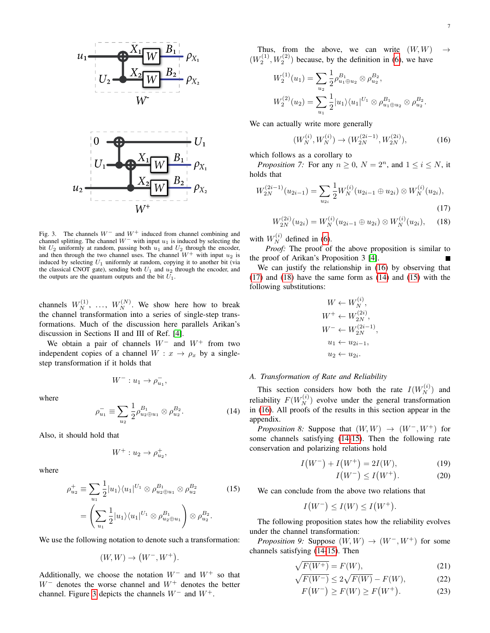



<span id="page-7-0"></span>Fig. 3. The channels  $W^-$  and  $W^+$  induced from channel combining and channel splitting. The channel  $W^-$  with input  $u_1$  is induced by selecting the bit  $U_2$  uniformly at random, passing both  $u_1$  and  $U_2$  through the encoder, and then through the two channel uses. The channel  $W^+$  with input  $u_2$  is induced by selecting  $U_1$  uniformly at random, copying it to another bit (via the classical CNOT gate), sending both  $U_1$  and  $u_2$  through the encoder, and the outputs are the quantum outputs and the bit  $U_1$ .

channels  $W_N^{(1)}$ , ...,  $W_N^{(N)}$ . We show here how to break the channel transformation into a series of single-step transformations. Much of the discussion here parallels Arikan's discussion in Sections II and III of Ref. [\[4\]](#page-12-3).

We obtain a pair of channels  $W^-$  and  $W^+$  from two independent copies of a channel  $W : x \to \rho_x$  by a singlestep transformation if it holds that

$$
W^-: u_1 \to \rho_{u_1}^-,
$$

where

<span id="page-7-4"></span>
$$
\rho_{u_1}^- \equiv \sum_{u_2} \frac{1}{2} \rho_{u_2 \oplus u_1}^{B_1} \otimes \rho_{u_2}^{B_2}.
$$
 (14)

Also, it should hold that

$$
W^+ : u_2 \to \rho_{u_2}^+,
$$

where

$$
\rho_{u_2}^+ \equiv \sum_{u_1} \frac{1}{2} |u_1\rangle \langle u_1|^{U_1} \otimes \rho_{u_2 \oplus u_1}^{B_1} \otimes \rho_{u_2}^{B_2}
$$
(15)  
= 
$$
\left(\sum_{u_1} \frac{1}{2} |u_1\rangle \langle u_1|^{U_1} \otimes \rho_{u_2 \oplus u_1}^{B_1}\right) \otimes \rho_{u_2}^{B_2}.
$$

We use the following notation to denote such a transformation:

 $(W, W) \to (W^-, W^+).$ 

Additionally, we choose the notation  $W^-$  and  $W^+$  so that  $W^-$  denotes the worse channel and  $W^+$  denotes the better channel. Figure [3](#page-7-0) depicts the channels  $W^-$  and  $W^+$ .

Thus, from the above, we can write  $(W, W) \rightarrow$  $(W_2^{(1)}, W_2^{(2)})$  because, by the definition in [\(6\)](#page-4-2), we have

$$
W_2^{(1)}(u_1) = \sum_{u_2} \frac{1}{2} \rho_{u_1 \oplus u_2}^{B_1} \otimes \rho_{u_2}^{B_2},
$$
  

$$
W_2^{(2)}(u_2) = \sum_{u_1} \frac{1}{2} |u_1\rangle\langle u_1|^{U_1} \otimes \rho_{u_1 \oplus u_2}^{B_1} \otimes \rho_{u_2}^{B_2}.
$$

We can actually write more generally

<span id="page-7-1"></span>
$$
(W_N^{(i)}, W_N^{(i)}) \to (W_{2N}^{(2i-1)}, W_{2N}^{(2i)}), \tag{16}
$$

which follows as a corollary to

<span id="page-7-8"></span>*Proposition 7:* For any  $n \geq 0$ ,  $N = 2<sup>n</sup>$ , and  $1 \leq i \leq N$ , it holds that

$$
W_{2N}^{(2i-1)}(u_{2i-1}) = \sum_{u_{2i}} \frac{1}{2} W_N^{(i)}(u_{2i-1} \oplus u_{2i}) \otimes W_N^{(i)}(u_{2i}),
$$
\n(17)

$$
W_{2N}^{(2i)}(u_{2i}) = W_N^{(i)}(u_{2i-1} \oplus u_{2i}) \otimes W_N^{(i)}(u_{2i}), \quad (18)
$$

with  $W_N^{(i)}$  defined in [\(6\)](#page-4-2).

*Proof:* The proof of the above proposition is similar to the proof of Arikan's Proposition 3 [\[4\]](#page-12-3).

We can justify the relationship in [\(16\)](#page-7-1) by observing that [\(17\)](#page-7-2) and [\(18\)](#page-7-3) have the same form as [\(14\)](#page-7-4) and [\(15\)](#page-7-5) with the following substitutions:

<span id="page-7-3"></span><span id="page-7-2"></span>
$$
W \leftarrow W_N^{(i)},
$$
  
\n
$$
W^+ \leftarrow W_{2N}^{(2i)},
$$
  
\n
$$
W^- \leftarrow W_{2N}^{(2i-1)},
$$
  
\n
$$
u_1 \leftarrow u_{2i-1},
$$
  
\n
$$
u_2 \leftarrow u_{2i}.
$$

#### *A. Transformation of Rate and Reliability*

This section considers how both the rate  $I(W_N^{(i)})$  and reliability  $F(W_N^{(i)})$  evolve under the general transformation in [\(16\)](#page-7-1). All proofs of the results in this section appear in the appendix.

<span id="page-7-9"></span>*Proposition 8:* Suppose that  $(W, W) \rightarrow (W^-, W^+)$  for some channels satisfying [\(14](#page-7-4)[-15\)](#page-7-5). Then the following rate conservation and polarizing relations hold

$$
I(W^{-}) + I(W^{+}) = 2I(W), \qquad (19)
$$

<span id="page-7-6"></span>
$$
I(W^-) \le I(W^+). \tag{20}
$$

<span id="page-7-5"></span>We can conclude from the above two relations that

$$
I(W^-) \le I(W) \le I(W^+).
$$

The following proposition states how the reliability evolves under the channel transformation:

<span id="page-7-10"></span>*Proposition 9:* Suppose  $(W, W) \rightarrow (W^-, W^+)$  for some channels satisfying [\(14-](#page-7-4)[15\)](#page-7-5). Then

$$
\sqrt{F(W^+)} = F(W),\tag{21}
$$

$$
\sqrt{F(W^-)} \le 2\sqrt{F(W)} - F(W),\tag{22}
$$

<span id="page-7-7"></span>
$$
F(W^-) \ge F(W) \ge F(W^+). \tag{23}
$$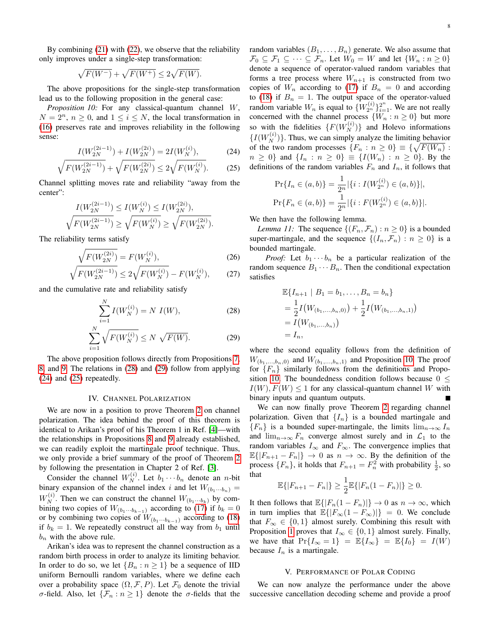By combining [\(21\)](#page-7-6) with [\(22\)](#page-7-7), we observe that the reliability only improves under a single-step transformation:

$$
\sqrt{F(W^-)} + \sqrt{F(W^+)} \le 2\sqrt{F(W)}.
$$

The above propositions for the single-step transformation lead us to the following proposition in the general case:

<span id="page-8-6"></span>*Proposition 10:* For any classical-quantum channel W,  $N = 2^n$ ,  $n \geq 0$ , and  $1 \leq i \leq N$ , the local transformation in [\(16\)](#page-7-1) preserves rate and improves reliability in the following sense:

$$
I(W_{2N}^{(2i-1)}) + I(W_{2N}^{(2i)}) = 2I(W_N^{(i)}),
$$
 (24)

$$
\sqrt{F(W_{2N}^{(2i-1)})} + \sqrt{F(W_{2N}^{(2i)})} \le 2\sqrt{F(W_N^{(i)})}.
$$
 (25)

Channel splitting moves rate and reliability "away from the center":

$$
I(W_{2N}^{(2i-1)}) \le I(W_N^{(i)}) \le I(W_{2N}^{(2i)}),
$$
  

$$
\sqrt{F(W_{2N}^{(2i-1)})} \ge \sqrt{F(W_N^{(i)})} \ge \sqrt{F(W_{2N}^{(2i)})}.
$$

The reliability terms satisfy

$$
\sqrt{F(W_{2N}^{(2i)})} = F(W_N^{(i)}),\tag{26}
$$

$$
\sqrt{F(W_{2N}^{(2i-1)})} \le 2\sqrt{F(W_N^{(i)})} - F(W_N^{(i)}),\tag{27}
$$

and the cumulative rate and reliability satisfy

$$
\sum_{i=1}^{N} I(W_N^{(i)}) = N \ I(W),\tag{28}
$$

$$
\sum_{i=1}^{N} \sqrt{F(W_N^{(i)})} \le N \sqrt{F(W)}.
$$
 (29)

The above proposition follows directly from Propositions [7,](#page-7-8) [8,](#page-7-9) and [9.](#page-7-10) The relations in [\(28\)](#page-8-2) and [\(29\)](#page-8-3) follow from applying [\(24\)](#page-8-4) and [\(25\)](#page-8-5) repeatedly.

#### IV. CHANNEL POLARIZATION

<span id="page-8-0"></span>We are now in a position to prove Theorem [2](#page-4-4) on channel polarization. The idea behind the proof of this theorem is identical to Arikan's proof of his Theorem 1 in Ref. [\[4\]](#page-12-3)—with the relationships in Propositions [8](#page-7-9) and [9](#page-7-10) already established, we can readily exploit the martingale proof technique. Thus, we only provide a brief summary of the proof of Theorem [2](#page-4-4) by following the presentation in Chapter 2 of Ref. [\[3\]](#page-12-2).

Consider the channel  $W_N^{(i)}$ . Let  $b_1 \cdots b_n$  denote an *n*-bit binary expansion of the channel index i and let  $W_{(b_1 \cdots b_n)} =$  $W_N^{(i)}$ . Then we can construct the channel  $W_{(b_1 \cdots b_k)}$  by combining two copies of  $W_{(b_1 \cdots b_{k-1})}$  according to [\(17\)](#page-7-2) if  $b_k = 0$ or by combining two copies of  $W_{(b_1 \cdots b_{k-1})}$  according to [\(18\)](#page-7-3) if  $b_k = 1$ . We repeatedly construct all the way from  $b_1$  until  $b_n$  with the above rule.

Arikan's idea was to represent the channel construction as a random birth process in order to analyze its limiting behavior. In order to do so, we let  $\{B_n : n \geq 1\}$  be a sequence of IID uniform Bernoulli random variables, where we define each over a probability space  $(\Omega, \mathcal{F}, P)$ . Let  $\mathcal{F}_0$  denote the trivial σ-field. Also, let  $\{\mathcal{F}_n : n \geq 1\}$  denote the σ-fields that the random variables  $(B_1, \ldots, B_n)$  generate. We also assume that  $\mathcal{F}_0 \subseteq \mathcal{F}_1 \subseteq \cdots \subseteq \mathcal{F}_n$ . Let  $W_0 = W$  and let  $\{W_n : n \geq 0\}$ denote a sequence of operator-valued random variables that forms a tree process where  $W_{n+1}$  is constructed from two copies of  $W_n$  according to [\(17\)](#page-7-2) if  $B_n = 0$  and according to [\(18\)](#page-7-3) if  $B_n = 1$ . The output space of the operator-valued random variable  $W_n$  is equal to  $\{W_{2n}^{(i)}\}_{i=1}^{2^n}$ . We are not really concerned with the channel process  $\{W_n : n \geq 0\}$  but more so with the fidelities  $\{F(W_N^{(i)})\}$  and Holevo informations  $\{I(W_N^{(i)})\}$ . Thus, we can simply analyze the limiting behavior of the two random processes  $\{F_n : n \geq 0\} \equiv \{\sqrt{F(W_n)} :$  $n \geq 0$ } and  $\{I_n : n \geq 0\} \equiv \{I(W_n) : n \geq 0\}$ . By the definitions of the random variables  $F_n$  and  $I_n$ , it follows that

<span id="page-8-5"></span><span id="page-8-4"></span>
$$
\Pr\{I_n \in (a,b)\} = \frac{1}{2^n} |\{i : I(W_{2^n}^{(i)}) \in (a,b)\}|,
$$
  

$$
\Pr\{F_n \in (a,b)\} = \frac{1}{2^n} |\{i : F(W_{2^n}^{(i)}) \in (a,b)\}|.
$$

We then have the following lemma.

*Lemma 11:* The sequence  $\{(F_n, \mathcal{F}_n) : n \geq 0\}$  is a bounded super-martingale, and the sequence  $\{(I_n, \mathcal{F}_n) : n \geq 0\}$  is a bounded martingale.

*Proof:* Let  $b_1 \cdots b_n$  be a particular realization of the random sequence  $B_1 \cdots B_n$ . Then the conditional expectation satisfies

$$
\mathbb{E}\{I_{n+1} \mid B_1 = b_1, \dots, B_n = b_n\}
$$
  
=  $\frac{1}{2}I(W_{(b_1,\dots,b_n,0)}) + \frac{1}{2}I(W_{(b_1,\dots,b_n,1)})$   
=  $I(W_{(b_1,\dots,b_n)})$   
=  $I_n$ ,

<span id="page-8-3"></span><span id="page-8-2"></span>where the second equality follows from the definition of  $W_{(b_1,...,b_n,0)}$  and  $W_{(b_1,...,b_n,1)}$  and Proposition [10.](#page-8-6) The proof for  ${F_n}$  similarly follows from the definitions and Propo-sition [10.](#page-8-6) The boundedness condition follows because  $0 \leq$  $I(W), F(W)$  < 1 for any classical-quantum channel W with binary inputs and quantum outputs.

We can now finally prove Theorem [2](#page-4-4) regarding channel polarization. Given that  $\{I_n\}$  is a bounded martingale and  ${F_n}$  is a bounded super-martingale, the limits  $\lim_{n\to\infty} I_n$ and  $\lim_{n\to\infty} F_n$  converge almost surely and in  $\mathcal{L}_1$  to the random variables  $I_{\infty}$  and  $F_{\infty}$ . The convergence implies that  $\mathbb{E}\{|F_{n+1} - F_n|\} \to 0$  as  $n \to \infty$ . By the definition of the process  $\{F_n\}$ , it holds that  $F_{n+1} = F_n^2$  with probability  $\frac{1}{2}$ , so that

$$
\mathbb{E}\{|F_{n+1} - F_n|\} \ge \frac{1}{2} \mathbb{E}\{|F_n(1 - F_n)|\} \ge 0.
$$

It then follows that  $\mathbb{E}\{|F_n(1 - F_n)|\} \to 0$  as  $n \to \infty$ , which in turn implies that  $\mathbb{E}\{ |F_\infty(1 - F_\infty)| \} = 0$ . We conclude that  $F_{\infty} \in \{0, 1\}$  almost surely. Combining this result with Proposition [1](#page-3-3) proves that  $I_{\infty} \in \{0, 1\}$  almost surely. Finally, we have that  $Pr{I_\infty = 1} = \mathbb{E}{I_\infty} = \mathbb{E}{I_0} = I(W)$ because  $I_n$  is a martingale.

#### V. PERFORMANCE OF POLAR CODING

<span id="page-8-1"></span>We can now analyze the performance under the above successive cancellation decoding scheme and provide a proof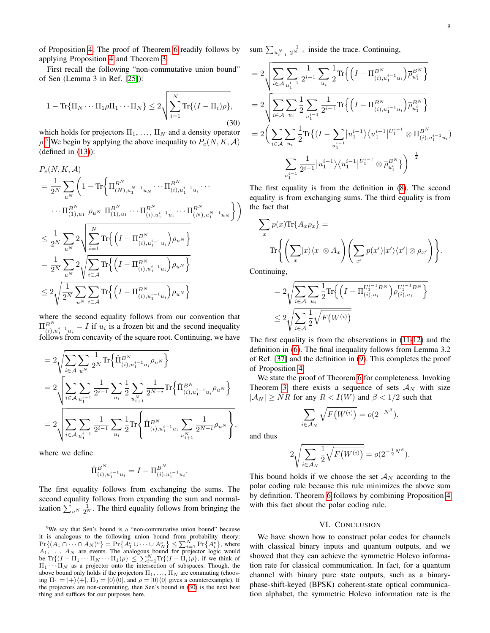of Proposition [4.](#page-6-1) The proof of Theorem [6](#page-6-3) readily follows by applying Proposition [4](#page-6-1) and Theorem [3.](#page-5-1)

First recall the following "non-commutative union bound" of Sen (Lemma 3 in Ref. [\[25\]](#page-12-24)):

<span id="page-9-2"></span>
$$
1 - \text{Tr}\{\Pi_N \cdots \Pi_1 \rho \Pi_1 \cdots \Pi_N\} \le 2 \sqrt{\sum_{i=1}^N \text{Tr}\{(I - \Pi_i) \rho\}},\tag{30}
$$

which holds for projectors  $\Pi_1, \ldots, \Pi_N$  and a density operator  $\rho$ .<sup>[5](#page-9-1)</sup> We begin by applying the above inequality to  $P_e(N, K, A)$  $(defined in (13))$  $(defined in (13))$  $(defined in (13))$ :

$$
P_e(N, K, \mathcal{A})
$$
\n
$$
= \frac{1}{2^N} \sum_{u^N} \left( 1 - \text{Tr} \left\{ \Pi_{(N), u_1^{N-1} u_N}^{B^N} \cdots \Pi_{(i), u_1^{i-1} u_i}^{B^N} \cdots \right. \right. \cdots \cdots \prod_{(1), u_1}^{B^N} \rho_{u^N} \Pi_{(1), u_1}^{B^N} \cdots \Pi_{(i), u_1^{i-1} u_i}^{B^N} \cdots \Pi_{(N), u_1^{N-1} u_N}^{B^N} \right)
$$
\n
$$
\leq \frac{1}{2^N} \sum_{u^N} 2 \sqrt{\sum_{i=1}^N \text{Tr} \left\{ \left( I - \Pi_{(i), u_1^{i-1} u_i}^{B^N} \right) \rho_{u^N} \right\}}
$$
\n
$$
= \frac{1}{2^N} \sum_{u^N} 2 \sqrt{\sum_{i \in \mathcal{A}} \text{Tr} \left\{ \left( I - \Pi_{(i), u_1^{i-1} u_i}^{B^N} \right) \rho_{u^N} \right\}}
$$
\n
$$
\leq 2 \sqrt{\frac{1}{2^N} \sum_{u^N} \sum_{i \in \mathcal{A}} \text{Tr} \left\{ \left( I - \Pi_{(i), u_1^{i-1} u_i}^{B^N} \right) \rho_{u^N} \right\}}
$$

where the second equality follows from our convention that  $\Pi_{i,j}^{B^{N}}=I$  if  $u_i$  is a frozen bit and the second inequality follows from concavity of the square root. Continuing, we have

$$
\begin{aligned} & = 2\sqrt{\sum_{i\in\mathcal{A}}\sum_{u^N}\frac{1}{2^N}\text{Tr}\Big\{\hat{\Pi}^{B^N}_{(i),u^{i-1}_1u_i}\rho_{u^N}\Big\}}\\ &= 2\sqrt{\sum_{i\in\mathcal{A}}\sum_{u^{i-1}_1}\frac{1}{2^{i-1}}\sum_{u_i}\frac{1}{2}\sum_{u^{N}_{i+1}}\frac{1}{2^{N-i}}\text{Tr}\Big\{\hat{\Pi}^{B^N}_{(i),u^{i-1}_1u_i}\rho_{u^N}\Big\}}\\ &= 2\sqrt{\sum_{i\in\mathcal{A}}\sum_{u^{i-1}_1}\frac{1}{2^{i-1}}\sum_{u_i}\frac{1}{2}\text{Tr}\Bigg\{\hat{\Pi}^{B^N}_{(i),u^{i-1}_1u_i}\sum_{u^{N}_{i+1}}\frac{1}{2^{N-i}}\rho_{u^N}\Bigg\}}, \end{aligned}
$$

where we define

$$
\hat{\Pi}_{(i),u_1^{i-1}u_i}^{B^N} = I - \Pi_{(i),u_1^{i-1}u_i}^{B^N}.
$$

The first equality follows from exchanging the sums. The second equality follows from expanding the sum and normalization  $\sum_{u^N} \frac{1}{2^N}$ . The third equality follows from bringing the sum  $\sum_{u_{i+1}^N}$  $\frac{1}{2^{N-i}}$  inside the trace. Continuing,

$$
=2\sqrt{\sum_{i\in\mathcal{A}}\sum_{u_{i}^{i-1}}\frac{1}{2^{i-1}}\sum_{u_{i}}\frac{1}{2}\text{Tr}\Big\{\Big(I-\Pi_{(i),u_{1}^{i-1}u_{i}}^{B^{N}}\Big)\overline{\rho}_{u_{1}^{i}}^{B^{N}}\Big\}}\\=2\sqrt{\sum_{i\in\mathcal{A}}\sum_{u_{i}}\frac{1}{2}\sum_{u_{1}^{i-1}}\frac{1}{2^{i-1}}\text{Tr}\Big\{\Big(I-\Pi_{(i),u_{1}^{i-1}u_{i}}^{B^{N}}\Big)\overline{\rho}_{u_{1}^{i}}^{B^{N}}\Big\}}\\=2\Big(\sum_{i\in\mathcal{A}}\sum_{u_{i}}\frac{1}{2}\text{Tr}\Big\{\big(I-\sum_{u_{1}^{i-1}}|u_{1}^{i-1}\big>\big\langle u_{1}^{i-1}\big|^{U_{1}^{i-1}}\otimes\Pi_{(i),u_{1}^{i-1}u_{i}}^{B^{N}}\big\rangle\Big\}\\-\sum_{u_{1}^{i-1}}\frac{1}{2^{i-1}}\big|u_{1}^{i-1}\big>\big\langle u_{1}^{i-1}\big|^{U_{1}^{i-1}}\otimes\overline{\rho}_{u_{1}^{i}}^{B^{N}}\big\rangle\Big)^{-\frac{1}{2}}\\
$$

The first equality is from the definition in [\(8\)](#page-4-5). The second equality is from exchanging sums. The third equality is from the fact that

$$
\sum_{x} p(x) \text{Tr}\{A_x \rho_x\} =
$$

$$
\text{Tr}\left\{ \left( \sum_{x} |x\rangle\langle x| \otimes A_x \right) \left( \sum_{x'} p(x') |x'\rangle\langle x' | \otimes \rho_{x'} \right) \right\}.
$$

Continuing,

$$
=2\sqrt{\sum_{i\in\mathcal{A}}\sum_{u_i}\frac{1}{2}\text{Tr}\Big\{\Big(I-\Pi_{(i),u_i}^{U_1^{i-1}BN}\Big)\rho_{(i),u_i}^{U_1^{i-1}BN}\Big\}}{\sum_{i\in\mathcal{A}}\frac{1}{2}\sqrt{F(W^{(i)})}}
$$

The first equality is from the observations in [\(11-](#page-5-2)[12\)](#page-5-3) and the definition in [\(6\)](#page-4-2). The final inequality follows from Lemma 3.2 of Ref. [\[37\]](#page-12-35) and the definition in [\(9\)](#page-5-4). This completes the proof of Proposition [4.](#page-6-1)

We state the proof of Theorem [6](#page-6-3) for completeness. Invoking Theorem [3,](#page-5-1) there exists a sequence of sets  $A_N$  with size  $|A_N| \geq NR$  for any  $R < I(W)$  and  $\beta < 1/2$  such that

$$
\sum_{i \in \mathcal{A}_N} \sqrt{F(W^{(i)})} = o(2^{-N^{\beta}}),
$$

and thus

$$
2\sqrt{\sum_{i\in A_N}\frac{1}{2}\sqrt{F\big(W^{(i)}\big)}} = o(2^{-\frac{1}{2}N^{\beta}}).
$$

This bound holds if we choose the set  $A_N$  according to the polar coding rule because this rule minimizes the above sum by definition. Theorem [6](#page-6-3) follows by combining Proposition [4](#page-6-1) with this fact about the polar coding rule.

#### VI. CONCLUSION

<span id="page-9-0"></span>We have shown how to construct polar codes for channels with classical binary inputs and quantum outputs, and we showed that they can achieve the symmetric Holevo information rate for classical communication. In fact, for a quantum channel with binary pure state outputs, such as a binaryphase-shift-keyed (BPSK) coherent-state optical communication alphabet, the symmetric Holevo information rate is the

<span id="page-9-1"></span><sup>5</sup>We say that Sen's bound is a "non-commutative union bound" because it is analogous to the following union bound from probability theory:  $Pr\{(A_1 \cap \cdots \cap A_N)^c\} = Pr\{A_1^c \cup \cdots \cup A_N^c\} \leq \sum_{i=1}^N Pr\{A_i^c\}$ , where A<sub>1</sub>, ...,  $A_N$  are events. The analogous bound for projector logic would be Tr{ $(I - \Pi_1 \cdots \Pi_N \cdots \Pi_1)\rho$ }  $\leq \sum_{i=1}^{N} \text{Tr}\{(I - \Pi_i)\rho\}$ , if we think of  $\Pi_1 \cdots \Pi_N$  as a projector onto the intersection of subspaces. Thoug above bound only holds if the projectors  $\Pi_1, \ldots, \Pi_N$  are commuting (choosing  $\Pi_1 = |+\rangle\langle +|$ ,  $\Pi_2 = |0\rangle\langle 0|$ , and  $\rho = |0\rangle\langle 0|$  gives a counterexample). If the projectors are non-commuting, then Sen's bound in [\(30\)](#page-9-2) is the next best thing and suffices for our purposes here.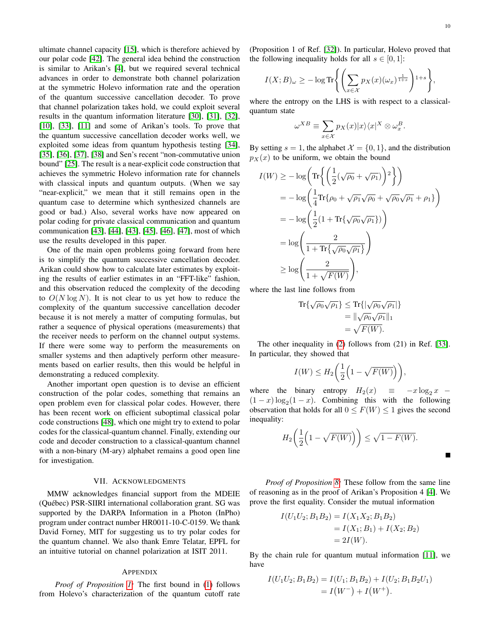ultimate channel capacity [\[15\]](#page-12-14), which is therefore achieved by our polar code [\[42\]](#page-12-41). The general idea behind the construction is similar to Arikan's [\[4\]](#page-12-3), but we required several technical advances in order to demonstrate both channel polarization at the symmetric Holevo information rate and the operation of the quantum successive cancellation decoder. To prove that channel polarization takes hold, we could exploit several results in the quantum information literature [\[30\]](#page-12-28), [\[31\]](#page-12-29), [\[32\]](#page-12-30), [\[10\]](#page-12-9), [\[33\]](#page-12-31), [\[11\]](#page-12-10) and some of Arikan's tools. To prove that the quantum successive cancellation decoder works well, we exploited some ideas from quantum hypothesis testing [\[34\]](#page-12-32), [\[35\]](#page-12-33), [\[36\]](#page-12-34), [\[37\]](#page-12-35), [\[38\]](#page-12-36) and Sen's recent "non-commutative union bound" [\[25\]](#page-12-24). The result is a near-explicit code construction that achieves the symmetric Holevo information rate for channels with classical inputs and quantum outputs. (When we say "near-explicit," we mean that it still remains open in the quantum case to determine which synthesized channels are good or bad.) Also, several works have now appeared on polar coding for private classical communication and quantum communication [\[43\]](#page-12-42), [\[44\]](#page-13-0), [\[43\]](#page-12-42), [\[45\]](#page-13-1), [\[46\]](#page-13-2), [\[47\]](#page-13-3), most of which use the results developed in this paper.

One of the main open problems going forward from here is to simplify the quantum successive cancellation decoder. Arikan could show how to calculate later estimates by exploiting the results of earlier estimates in an "FFT-like" fashion, and this observation reduced the complexity of the decoding to  $O(N \log N)$ . It is not clear to us yet how to reduce the complexity of the quantum successive cancellation decoder because it is not merely a matter of computing formulas, but rather a sequence of physical operations (measurements) that the receiver needs to perform on the channel output systems. If there were some way to perform the measurements on smaller systems and then adaptively perform other measurements based on earlier results, then this would be helpful in demonstrating a reduced complexity.

Another important open question is to devise an efficient construction of the polar codes, something that remains an open problem even for classical polar codes. However, there has been recent work on efficient suboptimal classical polar code constructions [\[48\]](#page-13-4), which one might try to extend to polar codes for the classical-quantum channel. Finally, extending our code and decoder construction to a classical-quantum channel with a non-binary (M-ary) alphabet remains a good open line for investigation.

#### VII. ACKNOWLEDGMENTS

MMW acknowledges financial support from the MDEIE (Quebec) PSR-SIIRI international collaboration grant. SG was ´ supported by the DARPA Information in a Photon (InPho) program under contract number HR0011-10-C-0159. We thank David Forney, MIT for suggesting us to try polar codes for the quantum channel. We also thank Emre Telatar, EPFL for an intuitive tutorial on channel polarization at ISIT 2011.

### APPENDIX

*Proof of Proposition [1:](#page-3-3)* The first bound in [\(1\)](#page-3-4) follows from Holevo's characterization of the quantum cutoff rate (Proposition 1 of Ref. [\[32\]](#page-12-30)). In particular, Holevo proved that the following inequality holds for all  $s \in [0, 1]$ :

$$
I(X;B)_{\omega} \geq -\log \text{Tr}\left\{ \left( \sum_{x \in \mathcal{X}} p_X(x) (\omega_x)^{\frac{1}{1+s}} \right)^{1+s} \right\},\,
$$

where the entropy on the LHS is with respect to a classicalquantum state

$$
\omega^{XB} \equiv \sum_{x \in \mathcal{X}} p_X(x) |x\rangle\langle x|^X \otimes \omega_x^B.
$$

By setting  $s = 1$ , the alphabet  $\mathcal{X} = \{0, 1\}$ , and the distribution  $p_X(x)$  to be uniform, we obtain the bound

$$
I(W) \ge -\log \left( \text{Tr} \left\{ \left( \frac{1}{2} (\sqrt{\rho_0} + \sqrt{\rho_1}) \right)^2 \right\} \right)
$$
  
=  $-\log \left( \frac{1}{4} \text{Tr} \{ \rho_0 + \sqrt{\rho_1} \sqrt{\rho_0} + \sqrt{\rho_0} \sqrt{\rho_1} + \rho_1 \} \right)$   
=  $-\log \left( \frac{1}{2} (1 + \text{Tr} \{ \sqrt{\rho_0} \sqrt{\rho_1} \}) \right)$   
=  $\log \left( \frac{2}{1 + \text{Tr} \{ \sqrt{\rho_0} \sqrt{\rho_1} \}} \right)$   
 $\ge \log \left( \frac{2}{1 + \sqrt{F(W)}} \right)$ ,

where the last line follows from

$$
\mathrm{Tr}\{\sqrt{\rho_0}\sqrt{\rho_1}\} \leq \mathrm{Tr}\{|\sqrt{\rho_0}\sqrt{\rho_1}|\}
$$
  
=  $\|\sqrt{\rho_0}\sqrt{\rho_1}\|_1$   
=  $\sqrt{F(W)}$ .

The other inequality in [\(2\)](#page-3-5) follows from (21) in Ref. [\[33\]](#page-12-31). In particular, they showed that

$$
I(W) \leq H_2\bigg(\frac{1}{2}\Big(1-\sqrt{F(W)}\Big)\bigg),\,
$$

where the binary entropy  $H_2(x) \equiv -x \log_2 x$  –  $(1-x) \log_2(1-x)$ . Combining this with the following observation that holds for all  $0 \le F(W) \le 1$  gives the second inequality:

$$
H_2\left(\frac{1}{2}\left(1-\sqrt{F(W)}\right)\right) \le \sqrt{1-F(W)}.
$$

*Proof of Proposition [8:](#page-7-9)* These follow from the same line of reasoning as in the proof of Arikan's Proposition 4 [\[4\]](#page-12-3). We prove the first equality. Consider the mutual information

$$
I(U_1U_2; B_1B_2) = I(X_1X_2; B_1B_2)
$$
  
=  $I(X_1; B_1) + I(X_2; B_2)$   
=  $2I(W)$ .

By the chain rule for quantum mutual information [\[11\]](#page-12-10), we have

$$
I(U_1U_2; B_1B_2) = I(U_1; B_1B_2) + I(U_2; B_1B_2U_1)
$$
  
=  $I(W^-) + I(W^+)$ .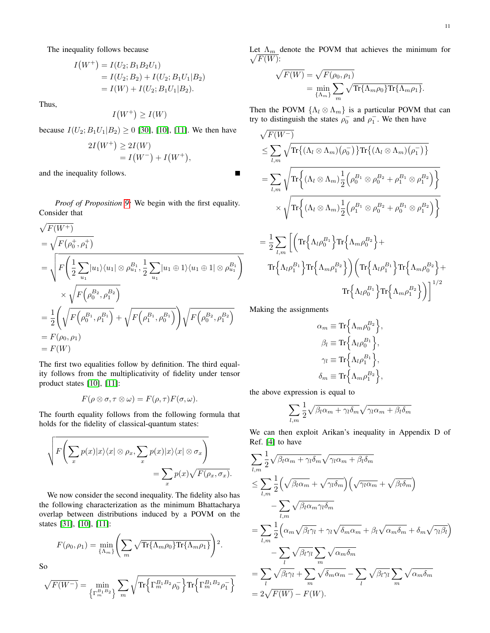The inequality follows because

$$
I(W^+) = I(U_2; B_1B_2U_1)
$$
  
=  $I(U_2; B_2) + I(U_2; B_1U_1|B_2)$   
=  $I(W) + I(U_2; B_1U_1|B_2)$ .

Thus,

 $I(W^+) \geq I(W)$ 

because  $I(U_2; B_1U_1|B_2) \ge 0$  [\[30\]](#page-12-28), [\[10\]](#page-12-9), [\[11\]](#page-12-10). We then have

$$
2I(W^{+}) \ge 2I(W)
$$
  
=  $I(W^{-}) + I(W^{+}),$ 

and the inequality follows.

*Proof of Proposition [9:](#page-7-10)* We begin with the first equality. Consider that

$$
\sqrt{F(W+)}\n= \sqrt{F(\rho_0^+, \rho_1^+)}\n= \sqrt{F(\frac{1}{2}\sum_{u_1} |u_1\rangle\langle u_1| \otimes \rho_{u_1}^{B_1}, \frac{1}{2}\sum_{u_1} |u_1 \oplus 1\rangle\langle u_1 \oplus 1| \otimes \rho_{u_1}^{B_1})}\n\n\times \sqrt{F(\rho_0^{B_2}, \rho_1^{B_2})}\n\n= \frac{1}{2} \left( \sqrt{F(\rho_0^{B_1}, \rho_1^{B_1})} + \sqrt{F(\rho_1^{B_1}, \rho_0^{B_1})} \right) \sqrt{F(\rho_0^{B_2}, \rho_1^{B_2})}\n\n= F(\rho_0, \rho_1)\n\n= F(W)
$$

The first two equalities follow by definition. The third equality follows from the multiplicativity of fidelity under tensor product states [\[10\]](#page-12-9), [\[11\]](#page-12-10):

$$
F(\rho \otimes \sigma, \tau \otimes \omega) = F(\rho, \tau) F(\sigma, \omega).
$$

The fourth equality follows from the following formula that holds for the fidelity of classical-quantum states:

$$
\sqrt{F\left(\sum_{x} p(x)|x\rangle\langle x|\otimes\rho_{x},\sum_{x} p(x)|x\rangle\langle x|\otimes\sigma_{x}\right)} = \sum_{x} p(x)\sqrt{F(\rho_{x},\sigma_{x})}.
$$

We now consider the second inequality. The fidelity also has the following characterization as the minimum Bhattacharya overlap between distributions induced by a POVM on the states [\[31\]](#page-12-29), [\[10\]](#page-12-9), [\[11\]](#page-12-10):

$$
F(\rho_0, \rho_1) = \min_{\{\Lambda_m\}} \left( \sum_m \sqrt{\text{Tr}\{\Lambda_m \rho_0\} \text{Tr}\{\Lambda_m \rho_1\}} \right)^2.
$$

So

$$
\sqrt{F(W^-)}=\min\limits_{\left\{\Gamma_m^{B_1B_2}\right\}}\sum\limits_{m}\sqrt{\text{Tr}\Big\{\Gamma_m^{B_1B_2}\rho_0^-\Big\}\text{Tr}\Big\{\Gamma_m^{B_1B_2}\rho_1^-\Big\}}
$$

Let  $\Lambda_m$  denote the POVM that achieves the minimum for  $\sqrt{F(W)}$ :

$$
\sqrt{F(W)} = \sqrt{F(\rho_0, \rho_1)}
$$
  
= 
$$
\min_{\{\Lambda_m\}} \sum_m \sqrt{\text{Tr}\{\Lambda_m \rho_0\} \text{Tr}\{\Lambda_m \rho_1\}}.
$$

Then the POVM  $\{\Lambda_l \otimes \Lambda_m\}$  is a particular POVM that can try to distinguish the states  $\rho_0^-$  and  $\rho_1^-$ . We then have

$$
\sqrt{F(W^-)}\n\leq \sum_{l,m} \sqrt{\text{Tr}\left\{ (\Lambda_l \otimes \Lambda_m) (\rho_0^-) \right\} \text{Tr}\left\{ (\Lambda_l \otimes \Lambda_m) (\rho_1^-) \right\}}\n= \sum_{l,m} \sqrt{\text{Tr}\left\{ (\Lambda_l \otimes \Lambda_m) \frac{1}{2} (\rho_0^{B_1} \otimes \rho_0^{B_2} + \rho_1^{B_1} \otimes \rho_1^{B_2}) \right\}}\n\times \sqrt{\text{Tr}\left\{ (\Lambda_l \otimes \Lambda_m) \frac{1}{2} (\rho_1^{B_1} \otimes \rho_0^{B_2} + \rho_0^{B_1} \otimes \rho_1^{B_2}) \right\}}\n= \frac{1}{2} \sum_{l,m} \left[ \left( \text{Tr}\left\{ \Lambda_l \rho_0^{B_1} \right\} \text{Tr}\left\{ \Lambda_m \rho_0^{B_2} \right\} + \text{Tr}\left\{ \Lambda_l \rho_1^{B_1} \right\} \text{Tr}\left\{ \Lambda_m \rho_1^{B_2} \right\} \right) \left( \text{Tr}\left\{ \Lambda_l \rho_1^{B_1} \right\} \text{Tr}\left\{ \Lambda_m \rho_0^{B_2} \right\} + \text{Tr}\left\{ \Lambda_l \rho_0^{B_1} \right\} \text{Tr}\left\{ \Lambda_m \rho_1^{B_2} \right\} \right) \right]^{1/2}
$$

Making the assignments

Е

$$
\alpha_m \equiv \text{Tr}\Big\{\Lambda_m \rho_0^{B_2}\Big\},\
$$

$$
\beta_l \equiv \text{Tr}\Big\{\Lambda_l \rho_0^{B_1}\Big\},\
$$

$$
\gamma_l \equiv \text{Tr}\Big\{\Lambda_l \rho_1^{B_1}\Big\},\
$$

$$
\delta_m \equiv \text{Tr}\Big\{\Lambda_m \rho_1^{B_2}\Big\},\
$$

the above expression is equal to

$$
\sum_{l,m} \frac{1}{2} \sqrt{\beta_l \alpha_m + \gamma_l \delta_m} \sqrt{\gamma_l \alpha_m + \beta_l \delta_m}
$$

We can then exploit Arikan's inequality in Appendix D of Ref. [\[4\]](#page-12-3) to have

$$
\sum_{l,m} \frac{1}{2} \sqrt{\beta_l \alpha_m + \gamma_l \delta_m} \sqrt{\gamma_l \alpha_m + \beta_l \delta_m}
$$
\n
$$
\leq \sum_{l,m} \frac{1}{2} \left( \sqrt{\beta_l \alpha_m} + \sqrt{\gamma_l \delta_m} \right) \left( \sqrt{\gamma_l \alpha_m} + \sqrt{\beta_l \delta_m} \right)
$$
\n
$$
- \sum_{l,m} \sqrt{\beta_l \alpha_m \gamma_l \delta_m}
$$
\n
$$
= \sum_{l,m} \frac{1}{2} \left( \alpha_m \sqrt{\beta_l \gamma_l} + \gamma_l \sqrt{\delta_m \alpha_m} + \beta_l \sqrt{\alpha_m \delta_m} + \delta_m \sqrt{\gamma_l \beta_l} \right)
$$
\n
$$
- \sum_l \sqrt{\beta_l \gamma_l} \sum_m \sqrt{\alpha_m \delta_m}
$$
\n
$$
= \sum_l \sqrt{\beta_l \gamma_l} + \sum_m \sqrt{\delta_m \alpha_m} - \sum_l \sqrt{\beta_l \gamma_l} \sum_m \sqrt{\alpha_m \delta_m}
$$
\n
$$
= 2\sqrt{F(W)} - F(W).
$$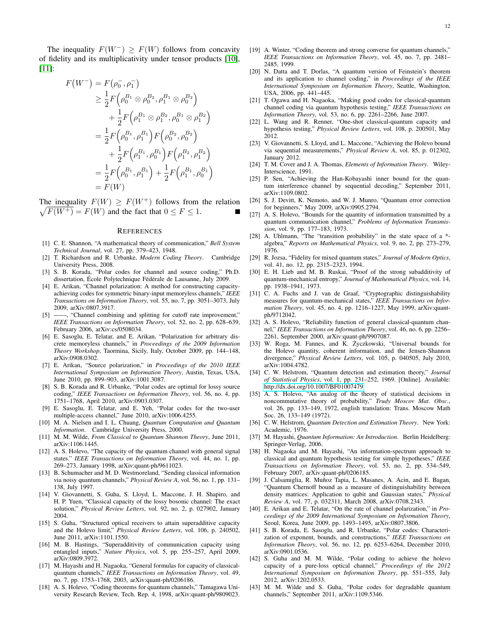The inequality  $F(W^-) > F(W)$  follows from concavity of fidelity and its multiplicativity under tensor products [\[10\]](#page-12-9), [\[11\]](#page-12-10):

$$
F(W^{-}) = F(\rho_{0}^{-}, \rho_{1}^{-})
$$
  
\n
$$
\geq \frac{1}{2} F(\rho_{0}^{B_{1}} \otimes \rho_{0}^{B_{2}}, \rho_{1}^{B_{1}} \otimes \rho_{0}^{B_{2}})
$$
  
\n
$$
+ \frac{1}{2} F(\rho_{1}^{B_{1}} \otimes \rho_{1}^{B_{2}}, \rho_{0}^{B_{1}} \otimes \rho_{1}^{B_{2}})
$$
  
\n
$$
= \frac{1}{2} F(\rho_{0}^{B_{1}}, \rho_{1}^{B_{1}}) F(\rho_{0}^{B_{2}}, \rho_{0}^{B_{2}})
$$
  
\n
$$
+ \frac{1}{2} F(\rho_{1}^{B_{1}}, \rho_{0}^{B_{1}}) F(\rho_{1}^{B_{2}}, \rho_{1}^{B_{2}})
$$
  
\n
$$
= \frac{1}{2} F(\rho_{0}^{B_{1}}, \rho_{1}^{B_{1}}) + \frac{1}{2} F(\rho_{1}^{B_{1}}, \rho_{0}^{B_{1}})
$$
  
\n
$$
= F(W)
$$

The inequality  $F(W) \geq F(W^+)$  follows from the relation  $\sqrt{F(W^+)} = F(W)$  and the fact that  $0 \le F \le 1$ .

#### **REFERENCES**

- <span id="page-12-0"></span>[1] C. E. Shannon, "A mathematical theory of communication," *Bell System Technical Journal*, vol. 27, pp. 379–423, 1948.
- <span id="page-12-1"></span>[2] T. Richardson and R. Urbanke, *Modern Coding Theory*. Cambridge University Press, 2008.
- <span id="page-12-2"></span>[3] S. B. Korada, "Polar codes for channel and source coding," Ph.D. dissertation, Ecole Polytechnique Fédérale de Lausanne, July 2009.
- <span id="page-12-3"></span>[4] E. Arikan, "Channel polarization: A method for constructing capacityachieving codes for symmetric binary-input memoryless channels," *IEEE Transactions on Information Theory*, vol. 55, no. 7, pp. 3051–3073, July 2009, arXiv:0807.3917.
- <span id="page-12-4"></span>[5] ——, "Channel combining and splitting for cutoff rate improvement," *IEEE Transactions on Information Theory*, vol. 52, no. 2, pp. 628–639, February 2006, arXiv:cs/0508034.
- <span id="page-12-5"></span>[6] E. Sasoglu, E. Telatar, and E. Arikan, "Polarization for arbitrary discrete memoryless channels," in *Proceedings of the 2009 Information Theory Workshop*, Taormina, Sicily, Italy, October 2009, pp. 144–148, arXiv:0908.0302.
- <span id="page-12-6"></span>[7] E. Arikan, "Source polarization," in *Proceedings of the 2010 IEEE International Symposium on Information Theory*, Austin, Texas, USA, June 2010, pp. 899–903, arXiv:1001.3087.
- <span id="page-12-7"></span>[8] S. B. Korada and R. Urbanke, "Polar codes are optimal for lossy source coding," *IEEE Transactions on Information Theory*, vol. 56, no. 4, pp. 1751–1768, April 2010, arXiv:0903.0307.
- <span id="page-12-8"></span>[9] E. Sasoglu, E. Telatar, and E. Yeh, "Polar codes for the two-user multiple-access channel," June 2010, arXiv:1006.4255.
- <span id="page-12-9"></span>[10] M. A. Nielsen and I. L. Chuang, *Quantum Computation and Quantum Information*. Cambridge University Press, 2000.
- <span id="page-12-10"></span>[11] M. M. Wilde, *From Classical to Quantum Shannon Theory*, June 2011, arXiv:1106.1445.
- <span id="page-12-11"></span>[12] A. S. Holevo, "The capacity of the quantum channel with general signal states." *IEEE Transactions on Information Theory*, vol. 44, no. 1, pp. 269–273, January 1998, arXiv:quant-ph/9611023.
- <span id="page-12-12"></span>[13] B. Schumacher and M. D. Westmoreland, "Sending classical information via noisy quantum channels," *Physical Review A*, vol. 56, no. 1, pp. 131– 138, July 1997.
- <span id="page-12-13"></span>[14] V. Giovannetti, S. Guha, S. Lloyd, L. Maccone, J. H. Shapiro, and H. P. Yuen, "Classical capacity of the lossy bosonic channel: The exact solution," *Physical Review Letters*, vol. 92, no. 2, p. 027902, January 2004.
- <span id="page-12-14"></span>[15] S. Guha, "Structured optical receivers to attain superadditive capacity and the Holevo limit," *Physical Review Letters*, vol. 106, p. 240502, June 2011, arXiv:1101.1550.
- <span id="page-12-15"></span>[16] M. B. Hastings, "Superadditivity of communication capacity using entangled inputs," *Nature Physics*, vol. 5, pp. 255–257, April 2009, arXiv:0809.3972.
- <span id="page-12-16"></span>[17] M. Hayashi and H. Nagaoka, "General formulas for capacity of classicalquantum channels," *IEEE Transactions on Information Theory*, vol. 49, no. 7, pp. 1753–1768, 2003, arXiv:quant-ph/0206186.
- <span id="page-12-17"></span>[18] A. S. Holevo, "Coding theorems for quantum channels," Tamagawa University Research Review, Tech. Rep. 4, 1998, arXiv:quant-ph/9809023.
- <span id="page-12-18"></span>[19] A. Winter, "Coding theorem and strong converse for quantum channels," *IEEE Transactions on Information Theory*, vol. 45, no. 7, pp. 2481– 2485, 1999.
- <span id="page-12-19"></span>[20] N. Datta and T. Dorlas, "A quantum version of Feinstein's theorem and its application to channel coding," in *Proceedings of the IEEE International Symposium on Information Theory*, Seattle, Washington, USA, 2006, pp. 441–445.
- <span id="page-12-20"></span>[21] T. Ogawa and H. Nagaoka, "Making good codes for classical-quantum channel coding via quantum hypothesis testing," *IEEE Transactions on Information Theory*, vol. 53, no. 6, pp. 2261–2266, June 2007.
- <span id="page-12-21"></span>[22] L. Wang and R. Renner, "One-shot classical-quantum capacity and hypothesis testing," *Physical Review Letters*, vol. 108, p. 200501, May 2012.
- <span id="page-12-22"></span>[23] V. Giovannetti, S. Lloyd, and L. Maccone, "Achieving the Holevo bound via sequential measurements," *Physical Review A*, vol. 85, p. 012302, January 2012.
- <span id="page-12-23"></span>[24] T. M. Cover and J. A. Thomas, *Elements of Information Theory*. Wiley-Interscience, 1991.
- <span id="page-12-24"></span>[25] P. Sen, "Achieving the Han-Kobayashi inner bound for the quantum interference channel by sequential decoding," September 2011, arXiv:1109.0802.
- <span id="page-12-37"></span>[26] S. J. Devitt, K. Nemoto, and W. J. Munro, "Quantum error correction for beginners," May 2009, arXiv:0905.2794.
- <span id="page-12-25"></span>[27] A. S. Holevo, "Bounds for the quantity of information transmitted by a quantum communication channel," *Problems of Information Transmission*, vol. 9, pp. 177–183, 1973.
- <span id="page-12-26"></span>[28] A. Uhlmann, "The "transition probability" in the state space of a  $*$ algebra," *Reports on Mathematical Physics*, vol. 9, no. 2, pp. 273–279, 1976.
- <span id="page-12-27"></span>[29] R. Jozsa, "Fidelity for mixed quantum states," *Journal of Modern Optics*, vol. 41, no. 12, pp. 2315–2323, 1994.
- <span id="page-12-28"></span>[30] E. H. Lieb and M. B. Ruskai, "Proof of the strong subadditivity of quantum-mechanical entropy," *Journal of Mathematical Physics*, vol. 14, pp. 1938–1941, 1973.
- <span id="page-12-29"></span>[31] C. A. Fuchs and J. van de Graaf, "Cryptographic distinguishability measures for quantum-mechanical states," *IEEE Transactions on Information Theory*, vol. 45, no. 4, pp. 1216–1227, May 1999, arXiv:quantph/9712042.
- <span id="page-12-30"></span>[32] A. S. Holevo, "Reliability function of general classical-quantum channel," *IEEE Transactions on Information Theory*, vol. 46, no. 6, pp. 2256– 2261, September 2000, arXiv:quant-ph/9907087.
- <span id="page-12-31"></span>[33] W. Roga, M. Fannes, and K. Życzkowski, "Universal bounds for the Holevo quantity, coherent information, and the Jensen-Shannon divergence," *Physical Review Letters*, vol. 105, p. 040505, July 2010, arXiv:1004.4782.
- <span id="page-12-32"></span>[34] C. W. Helstrom, "Quantum detection and estimation theory," *Journal of Statistical Physics*, vol. 1, pp. 231–252, 1969. [Online]. Available: <http://dx.doi.org/10.1007/BF01007479>
- <span id="page-12-33"></span>[35] A. S. Holevo, "An analog of the theory of statistical decisions in noncommutative theory of probability," *Trudy Moscov Mat. Obsc.*, vol. 26, pp. 133–149, 1972, english translation: Trans. Moscow Math Soc. 26, 133–149 (1972).
- <span id="page-12-34"></span>[36] C. W. Helstrom, *Quantum Detection and Estimation Theory*. New York: Academic, 1976.
- <span id="page-12-35"></span>[37] M. Hayashi, *Quantum Information: An Introduction*. Berlin Heidelberg: Springer-Verlag, 2006.
- <span id="page-12-36"></span>[38] H. Nagaoka and M. Hayashi, "An information-spectrum approach to classical and quantum hypothesis testing for simple hypotheses," *IEEE Transactions on Information Theory*, vol. 53, no. 2, pp. 534–549, February 2007, arXiv:quant-ph/0206185.
- <span id="page-12-38"></span>[39] J. Calsamiglia, R. Muñoz Tapia, L. Masanes, A. Acin, and E. Bagan, "Quantum Chernoff bound as a measure of distinguishability between density matrices: Application to qubit and Gaussian states," *Physical Review A*, vol. 77, p. 032311, March 2008, arXiv:0708.2343.
- <span id="page-12-39"></span>[40] E. Arikan and E. Telatar, "On the rate of channel polarization," in *Proceedings of the 2009 International Symposium on Information Theory*, Seoul, Korea, June 2009, pp. 1493–1495, arXiv:0807.3806.
- <span id="page-12-40"></span>[41] S. B. Korada, E. Sasoglu, and R. Urbanke, "Polar codes: Characterization of exponent, bounds, and constructions," *IEEE Transactions on Information Theory*, vol. 56, no. 12, pp. 6253–6264, December 2010, arXiv:0901.0536.
- <span id="page-12-41"></span>[42] S. Guha and M. M. Wilde, "Polar coding to achieve the holevo capacity of a pure-loss optical channel," *Proceedings of the 2012 International Symposium on Information Theory*, pp. 551–555, July 2012, arXiv:1202.0533.
- <span id="page-12-42"></span>[43] M. M. Wilde and S. Guha, "Polar codes for degradable quantum channels," September 2011, arXiv:1109.5346.